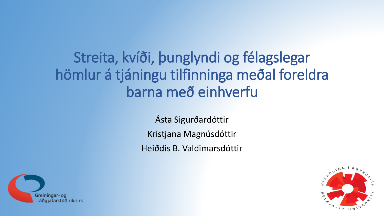# Streita, kvíði, þunglyndi og félagslegar hömlur á tjáningu tilfinninga meðal foreldra barna með einhverfu

Ásta Sigurðardóttir Kristjana Magnúsdóttir Heiðdís B. Valdimarsdóttir



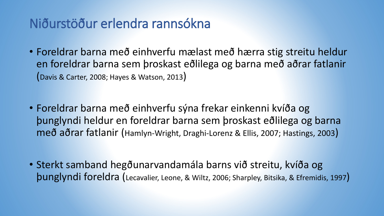## Niðurstöður erlendra rannsókna

- Foreldrar barna með einhverfu mælast með hærra stig streitu heldur en foreldrar barna sem þroskast eðlilega og barna með aðrar fatlanir (Davis & Carter, 2008; Hayes & Watson, 2013)
- Foreldrar barna með einhverfu sýna frekar einkenni kvíða og þunglyndi heldur en foreldrar barna sem þroskast eðlilega og barna með aðrar fatlanir (Hamlyn-Wright, Draghi-Lorenz & Ellis, 2007; Hastings, 2003)

• Sterkt samband hegðunarvandamála barns við streitu, kvíða og þunglyndi foreldra (Lecavalier, Leone, & Wiltz, 2006; Sharpley, Bitsika, & Efremidis, 1997)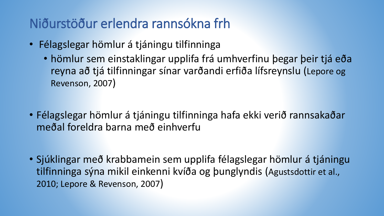# Niðurstöður erlendra rannsókna frh

- Félagslegar hömlur á tjáningu tilfinninga
	- hömlur sem einstaklingar upplifa frá umhverfinu þegar þeir tjá eða reyna að tjá tilfinningar sínar varðandi erfiða lífsreynslu (Lepore og Revenson, 2007)
- Félagslegar hömlur á tjáningu tilfinninga hafa ekki verið rannsakaðar meðal foreldra barna með einhverfu
- Sjúklingar með krabbamein sem upplifa félagslegar hömlur á tjáningu tilfinninga sýna mikil einkenni kvíða og þunglyndis (Agustsdottir et al., 2010; Lepore & Revenson, 2007)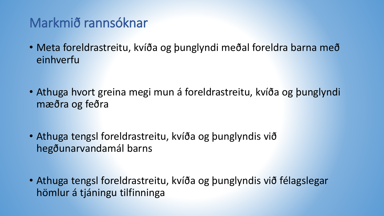# Markmið rannsóknar

- Meta foreldrastreitu, kvíða og þunglyndi meðal foreldra barna með einhverfu
- Athuga hvort greina megi mun á foreldrastreitu, kvíða og þunglyndi mæðra og feðra
- Athuga tengsl foreldrastreitu, kvíða og þunglyndis við hegðunarvandamál barns
- Athuga tengsl foreldrastreitu, kvíða og þunglyndis við félagslegar hömlur á tjáningu tilfinninga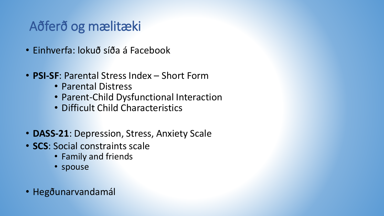## Aðferð og mælitæki

- Einhverfa: lokuð síða á Facebook
- **PSI-SF**: Parental Stress Index Short Form
	- Parental Distress
	- Parent-Child Dysfunctional Interaction
	- Difficult Child Characteristics
- **DASS-21**: Depression, Stress, Anxiety Scale
- **SCS**: Social constraints scale
	- Family and friends
	- spouse
- Hegðunarvandamál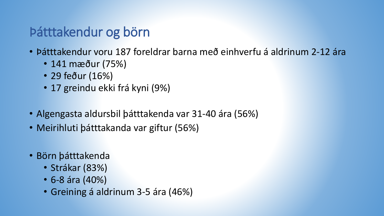## Þátttakendur og börn

- Þátttakendur voru 187 foreldrar barna með einhverfu á aldrinum 2-12 ára
	- 141 mæður (75%)
	- 29 feður (16%)
	- 17 greindu ekki frá kyni (9%)
- Algengasta aldursbil þátttakenda var 31-40 ára (56%)
- Meirihluti þátttakanda var giftur (56%)
- Börn þátttakenda
	- Strákar (83%)
	- 6-8 ára (40%)
	- Greining á aldrinum 3-5 ára (46%)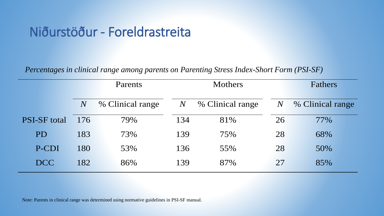#### Niðurstöður - Foreldrastreita

*Percentages in clinical range among parents on Parenting Stress Index-Short Form (PSI-SF)*

|                     | <b>Parents</b> |                  |       | <b>Mothers</b>   |       | <b>Fathers</b>   |  |  |
|---------------------|----------------|------------------|-------|------------------|-------|------------------|--|--|
|                     | $\,N$          | % Clinical range | $\,N$ | % Clinical range | $\,N$ | % Clinical range |  |  |
| <b>PSI-SF</b> total | 176            | 79%              | 134   | 81%              | 26    | 77%              |  |  |
| PD                  | 183            | 73%              | 139   | 75%              | 28    | 68%              |  |  |
| P-CDI               | 180            | 53%              | 136   | 55%              | 28    | 50%              |  |  |
| <b>DCC</b>          | 182            | 86%              | 139   | 87%              | 27    | 85%              |  |  |

Note: Parents in clinical range was determined using normative guidelines in PSI-SF manual.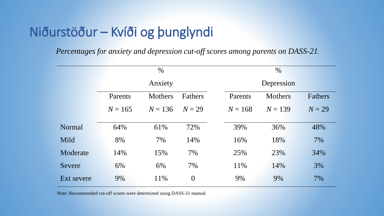# Niðurstöður – Kvíði og þunglyndi

*Percentages for anxiety and depression cut-off scores among parents on DASS-21.*

|            | $\%$      |                |                  |  | $\%$       |                |         |  |  |
|------------|-----------|----------------|------------------|--|------------|----------------|---------|--|--|
|            | Anxiety   |                |                  |  | Depression |                |         |  |  |
|            | Parents   | <b>Mothers</b> | <b>Fathers</b>   |  | Parents    | <b>Mothers</b> | Fathers |  |  |
|            | $N = 165$ | $N = 136$      | $N=29$           |  | $N = 168$  | $N = 139$      | $N=29$  |  |  |
| Normal     | 64%       | 61%            | 72%              |  | 39%        | 36%            | 48%     |  |  |
| Mild       | 8%        | 7%             | 14%              |  | 16%        | 18%            | 7%      |  |  |
| Moderate   | 14%       | 15%            | 7%               |  | 25%        | 23%            | 34%     |  |  |
| Severe     | 6%        | 6%             | 7%               |  | 11%        | 14%            | 3%      |  |  |
| Ext severe | 9%        | 11%            | $\boldsymbol{0}$ |  | 9%         | 9%             | 7%      |  |  |

Note: Recommended cut-off scores were determined using DASS-21 manual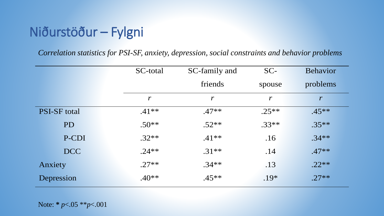# Niðurstöður – Fylgni

*Correlation statistics for PSI-SF, anxiety, depression, social constraints and behavior problems*

|                     |            | SC-total         | SC-family and    |  | $SC-$            |  | <b>Behavior</b>  |  |
|---------------------|------------|------------------|------------------|--|------------------|--|------------------|--|
|                     |            |                  | friends          |  | spouse           |  | problems         |  |
|                     |            | $\boldsymbol{r}$ | $\boldsymbol{r}$ |  | $\boldsymbol{r}$ |  | $\boldsymbol{r}$ |  |
| <b>PSI-SF</b> total |            | $.41**$          | $.47**$          |  | $.25**$          |  | $.45**$          |  |
|                     | PD         | $.50**$          | $.52**$          |  | $.33**$          |  | $.35**$          |  |
|                     | P-CDI      | $.32**$          | $.41**$          |  | .16              |  | $.34**$          |  |
|                     | <b>DCC</b> | $.24**$          | $.31**$          |  | .14              |  | $.47**$          |  |
|                     | Anxiety    | $.27**$          | $.34**$          |  | .13              |  | $.22**$          |  |
| Depression          |            | $.40**$          | $.45**$          |  | $.19*$           |  | $.27**$          |  |

Note: **\*** *p*<.05 \*\**p*<.001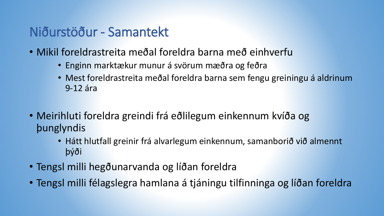#### Niðurstöður - Samantekt

- Mikil foreldrastreita meðal foreldra barna með einhverfu
	- Enginn marktækur munur á svörum mæðra og feðra
	- Mest foreldrastreita meðal foreldra barna sem fengu greiningu á aldrinum 9-12 ára
- Meirihluti foreldra greindi frá eðlilegum einkennum kvíða og þunglyndis
	- Hátt hlutfall greinir frá alvarlegum einkennum, samanborið við almennt þýði
- Tengsl milli hegðunarvanda og líðan foreldra
- Tengsl milli félagslegra hamlana á tjáningu tilfinninga og líðan foreldra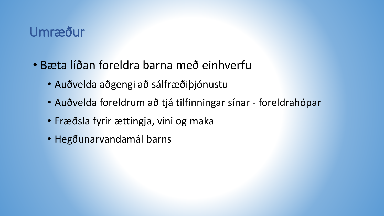#### Umræður

- Bæta líðan foreldra barna með einhverfu
	- Auðvelda aðgengi að sálfræðiþjónustu
	- Auðvelda foreldrum að tjá tilfinningar sínar foreldrahópar
	- Fræðsla fyrir ættingja, vini og maka
	- Hegðunarvandamál barns